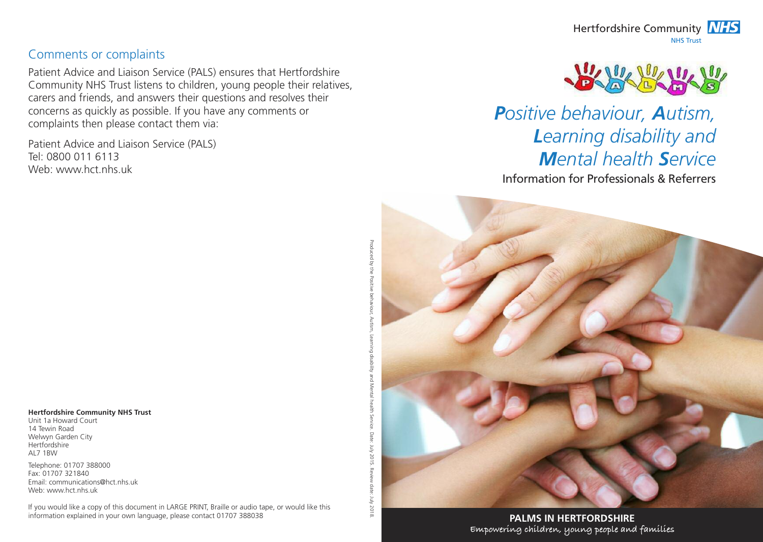#### Comments or complaints

Patient Advice and Liaison Service (PALS) ensures that Hertfordshire Community NHS Trust listens to children, young people their relatives, carers and friends, and answers their questions and resolves their concerns as quickly as possible. If you have any comments or complaints then please contact them via:

Patient Advice and Liaison Service (PALS) Tel: 0800 011 6113 Web: www.hct.nhs.uk

*Positive behaviour, Autism, Learning disability and Mental health Service*

Information for Professionals & Referrers

**Hertfordshire Community NHS Trust**

Unit 1a Howard Court 14 Tewin Road Welwyn Garden City **Hertfordshire**  $\Delta$ L7 1RVV

Telephone: 01707 388000 Fax: 01707 321840 Email: communications@hct.nhs.uk Web: www.hct.nhs.uk

If you would like a copy of this document in LARGE PRINT, Braille or audio tape, or would like this information explained in your own language, please contact 01707 388038

Produced by the Positive behaviour, Autism, Learning disability and Mental health Service. Date: July 2015. Review date: July 2018.

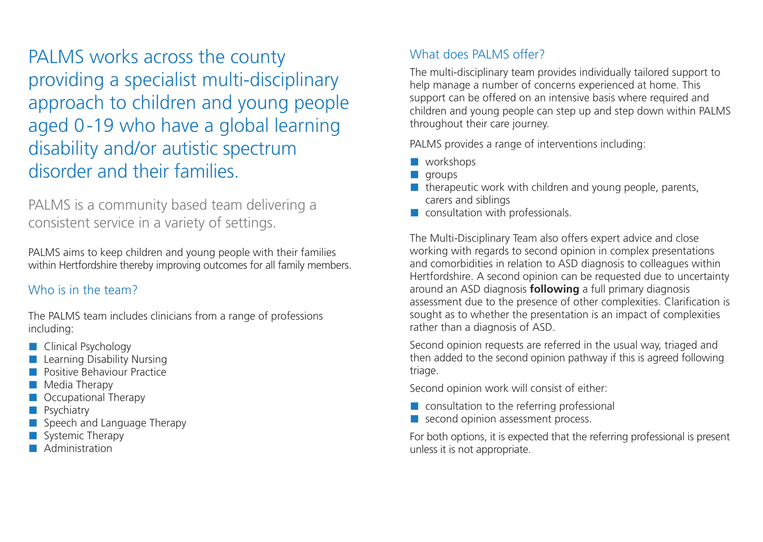PALMS works across the county providing a specialist multi-disciplinary approach to children and young people aged 0-19 who have a global learning disability and/or autistic spectrum disorder and their families.

PALMS is a community based team delivering a consistent service in a variety of settings.

PALMS aims to keep children and young people with their families within Hertfordshire thereby improving outcomes for all family members.

## Who is in the team?

The PALMS team includes clinicians from a range of professions including:

- **Clinical Psychology**
- Learning Disability Nursing
- **Positive Behaviour Practice**
- Media Therapy
- Cocupational Therapy
- Psychiatry
- Speech and Language Therapy
- Systemic Therapy
- Administration

## What does PALMS offer?

The multi-disciplinary team provides individually tailored support to help manage a number of concerns experienced at home. This support can be offered on an intensive basis where required and children and young people can step up and step down within PALMS throughout their care journey.

PALMS provides a range of interventions including:

- **N** workshops
- $\blacksquare$  aroups
- $\blacksquare$  therapeutic work with children and young people, parents, carers and siblings
- **Consultation with professionals.**

The Multi-Disciplinary Team also offers expert advice and close working with regards to second opinion in complex presentations and comorbidities in relation to ASD diagnosis to colleagues within Hertfordshire. A second opinion can be requested due to uncertainty around an ASD diagnosis **following** a full primary diagnosis assessment due to the presence of other complexities. Clarification is sought as to whether the presentation is an impact of complexities rather than a diagnosis of ASD.

Second opinion requests are referred in the usual way, triaged and then added to the second opinion pathway if this is agreed following triage.

Second opinion work will consist of either:

- **Consultation to the referring professional**
- second opinion assessment process.

For both options, it is expected that the referring professional is present unless it is not appropriate.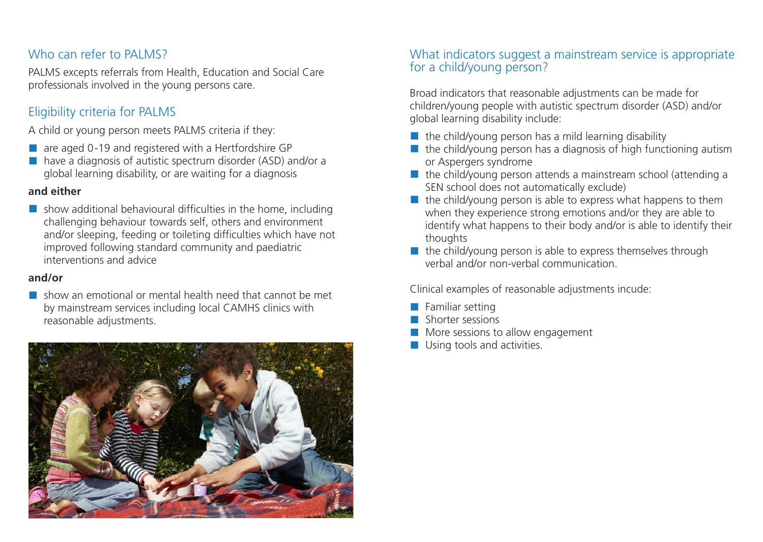#### Who can refer to PALMS?

PALMS excepts referrals from Health, Education and Social Care professionals involved in the young persons care.

# Eligibility criteria for PALMS

A child or young person meets PALMS criteria if they:

- $\blacksquare$  are aged 0-19 and registered with a Hertfordshire GP
- have a diagnosis of autistic spectrum disorder (ASD) and/or a global learning disability, or are waiting for a diagnosis

#### **and either**

 $\blacksquare$  show additional behavioural difficulties in the home, including challenging behaviour towards self, others and environment and/or sleeping, feeding or toileting difficulties which have not improved following standard community and paediatric interventions and advice

#### **and/or**

 $\blacksquare$  show an emotional or mental health need that cannot be met by mainstream services including local CAMHS clinics with reasonable adjustments.



## What indicators suggest a mainstream service is appropriate for a child/young person?

Broad indicators that reasonable adjustments can be made for children/young people with autistic spectrum disorder (ASD) and/or global learning disability include:

- $\blacksquare$  the child/young person has a mild learning disability
- $\blacksquare$  the child/young person has a diagnosis of high functioning autism or Aspergers syndrome
- $\blacksquare$  the child/young person attends a mainstream school (attending a SEN school does not automatically exclude)
- $\blacksquare$  the child/young person is able to express what happens to them when they experience strong emotions and/or they are able to identify what happens to their body and/or is able to identify their thoughts
- $\blacksquare$  the child/voung person is able to express themselves through verbal and/or non-verbal communication.

Clinical examples of reasonable adjustments incude:

- $\blacksquare$  Familiar setting
- Shorter sessions
- More sessions to allow engagement
- **Using tools and activities.**